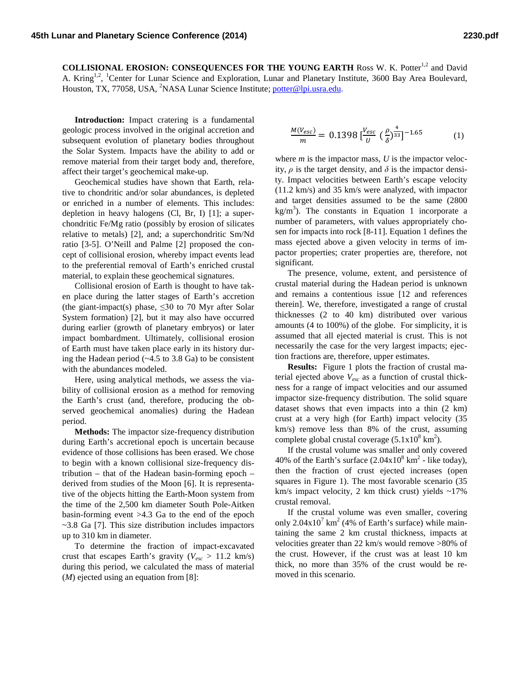**COLLISIONAL EROSION: CONSEQUENCES FOR THE YOUNG EARTH Ross W. K. Potter<sup>1,2</sup> and David** A. Kring<sup>1,2</sup>, <sup>1</sup>Center for Lunar Science and Exploration, Lunar and Planetary Institute, 3600 Bay Area Boulevard, Houston, TX, 77058, USA, <sup>2</sup>NASA Lunar Science Institute; [potter@lpi.usra.edu.](mailto:potter@lpi.usra.edu)

**Introduction:** Impact cratering is a fundamental geologic process involved in the original accretion and subsequent evolution of planetary bodies throughout the Solar System. Impacts have the ability to add or remove material from their target body and, therefore, affect their target's geochemical make-up.

Geochemical studies have shown that Earth, relative to chondritic and/or solar abundances, is depleted or enriched in a number of elements. This includes: depletion in heavy halogens (Cl, Br, I) [1]; a superchondritic Fe/Mg ratio (possibly by erosion of silicates relative to metals) [2], and; a superchondritic Sm/Nd ratio [3-5]. O'Neill and Palme [2] proposed the concept of collisional erosion, whereby impact events lead to the preferential removal of Earth's enriched crustal material, to explain these geochemical signatures.

Collisional erosion of Earth is thought to have taken place during the latter stages of Earth's accretion (the giant-impact(s) phase,  $\leq 30$  to 70 Myr after Solar System formation) [2], but it may also have occurred during earlier (growth of planetary embryos) or later impact bombardment. Ultimately, collisional erosion of Earth must have taken place early in its history during the Hadean period (~4.5 to 3.8 Ga) to be consistent with the abundances modeled.

Here, using analytical methods, we assess the viability of collisional erosion as a method for removing the Earth's crust (and, therefore, producing the observed geochemical anomalies) during the Hadean period.

**Methods:** The impactor size-frequency distribution during Earth's accretional epoch is uncertain because evidence of those collisions has been erased. We chose to begin with a known collisional size-frequency distribution – that of the Hadean basin-forming epoch – derived from studies of the Moon [6]. It is representative of the objects hitting the Earth-Moon system from the time of the 2,500 km diameter South Pole-Aitken basin-forming event >4.3 Ga to the end of the epoch ~3.8 Ga [7]. This size distribution includes impactors up to 310 km in diameter.

To determine the fraction of impact-excavated crust that escapes Earth's gravity (*Vesc* > 11.2 km/s) during this period, we calculated the mass of material (*M*) ejected using an equation from [8]:

$$
\frac{M(V_{esc})}{m} = 0.1398 \left[ \frac{V_{esc}}{U} \left( \frac{\rho}{\delta} \right)^{\frac{4}{33}} \right]^{-1.65} \tag{1}
$$

where *m* is the impactor mass, *U* is the impactor velocity,  $\rho$  is the target density, and  $\delta$  is the impactor density. Impact velocities between Earth's escape velocity (11.2 km/s) and 35 km/s were analyzed, with impactor and target densities assumed to be the same (2800  $kg/m<sup>3</sup>$ ). The constants in Equation 1 incorporate a number of parameters, with values appropriately chosen for impacts into rock [8-11]. Equation 1 defines the mass ejected above a given velocity in terms of impactor properties; crater properties are, therefore, not significant.

The presence, volume, extent, and persistence of crustal material during the Hadean period is unknown and remains a contentious issue [12 and references therein]. We, therefore, investigated a range of crustal thicknesses (2 to 40 km) distributed over various amounts (4 to 100%) of the globe. For simplicity, it is assumed that all ejected material is crust. This is not necessarily the case for the very largest impacts; ejection fractions are, therefore, upper estimates.

**Results:** Figure 1 plots the fraction of crustal material ejected above *Vesc* as a function of crustal thickness for a range of impact velocities and our assumed impactor size-frequency distribution. The solid square dataset shows that even impacts into a thin (2 km) crust at a very high (for Earth) impact velocity (35 km/s) remove less than 8% of the crust, assuming complete global crustal coverage  $(5.1x10^8 \text{ km}^2)$ .

If the crustal volume was smaller and only covered 40% of the Earth's surface  $(2.04 \times 10^8 \text{ km}^2 \cdot \text{like today})$ , then the fraction of crust ejected increases (open squares in Figure 1). The most favorable scenario (35 km/s impact velocity, 2 km thick crust) yields  $\sim$ 17% crustal removal.

If the crustal volume was even smaller, covering only  $2.04x10<sup>7</sup>$  km<sup>2</sup> (4% of Earth's surface) while maintaining the same 2 km crustal thickness, impacts at velocities greater than 22 km/s would remove >80% of the crust. However, if the crust was at least 10 km thick, no more than 35% of the crust would be removed in this scenario.